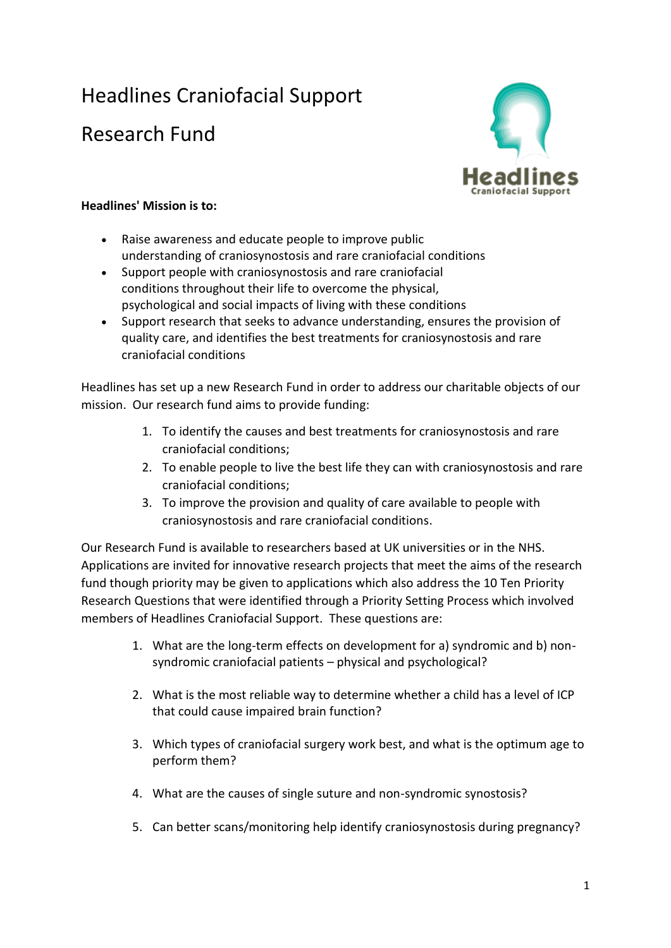## Headlines Craniofacial Support

## Research Fund



## **Headlines' Mission is to:**

- Raise awareness and educate people to improve public understanding of craniosynostosis and rare craniofacial conditions
- Support people with craniosynostosis and rare craniofacial conditions throughout their life to overcome the physical, psychological and social impacts of living with these conditions
- Support research that seeks to advance understanding, ensures the provision of quality care, and identifies the best treatments for craniosynostosis and rare craniofacial conditions

Headlines has set up a new Research Fund in order to address our charitable objects of our mission. Our research fund aims to provide funding:

- 1. To identify the causes and best treatments for craniosynostosis and rare craniofacial conditions;
- 2. To enable people to live the best life they can with craniosynostosis and rare craniofacial conditions;
- 3. To improve the provision and quality of care available to people with craniosynostosis and rare craniofacial conditions.

Our Research Fund is available to researchers based at UK universities or in the NHS. Applications are invited for innovative research projects that meet the aims of the research fund though priority may be given to applications which also address the 10 Ten Priority Research Questions that were identified through a Priority Setting Process which involved members of Headlines Craniofacial Support. These questions are:

- 1. What are the long-term effects on development for a) syndromic and b) nonsyndromic craniofacial patients – physical and psychological?
- 2. What is the most reliable way to determine whether a child has a level of ICP that could cause impaired brain function?
- 3. Which types of craniofacial surgery work best, and what is the optimum age to perform them?
- 4. What are the causes of single suture and non-syndromic synostosis?
- 5. Can better scans/monitoring help identify craniosynostosis during pregnancy?